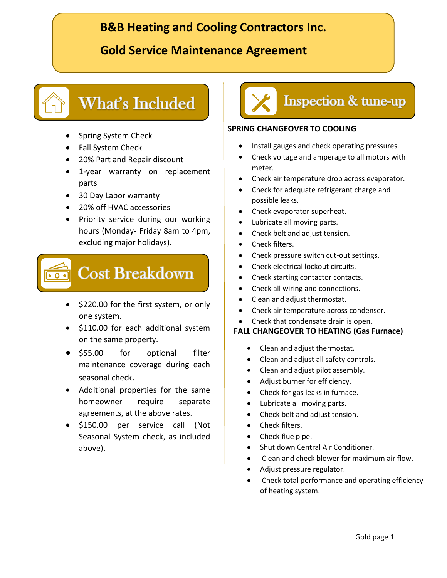# **B&B Heating and Cooling Contractors Inc.**

## **Gold Service Maintenance Agreement**

# **What's Included**

- Spring System Check
- Fall System Check
- 20% Part and Repair discount
- 1-year warranty on replacement parts
- 30 Day Labor warranty
- 20% off HVAC accessories
- Priority service during our working hours (Monday- Friday 8am to 4pm, excluding major holidays).



- \$220.00 for the first system, or only one system.
- \$110.00 for each additional system on the same property.
- \$55.00 for optional filter maintenance coverage during each seasonal check.
- Additional properties for the same homeowner require separate agreements, at the above rates.
- \$150.00 per service call (Not Seasonal System check, as included above).



#### **SPRING CHANGEOVER TO COOLING**

- Install gauges and check operating pressures.
- Check voltage and amperage to all motors with meter.
- Check air temperature drop across evaporator.
- Check for adequate refrigerant charge and possible leaks.
- Check evaporator superheat.
- Lubricate all moving parts.
- Check belt and adjust tension.
- Check filters.
- Check pressure switch cut-out settings.
- Check electrical lockout circuits.
- Check starting contactor contacts.
- Check all wiring and connections.
- Clean and adjust thermostat.
- Check air temperature across condenser.
- Check that condensate drain is open.

#### **FALL CHANGEOVER TO HEATING (Gas Furnace)**

- Clean and adjust thermostat.
- Clean and adjust all safety controls.
- Clean and adjust pilot assembly.
- Adjust burner for efficiency.
- Check for gas leaks in furnace.
- Lubricate all moving parts.
- Check belt and adjust tension.
- Check filters.
- Check flue pipe.
- Shut down Central Air Conditioner.
- Clean and check blower for maximum air flow.
- Adjust pressure regulator.
- Check total performance and operating efficiency of heating system.